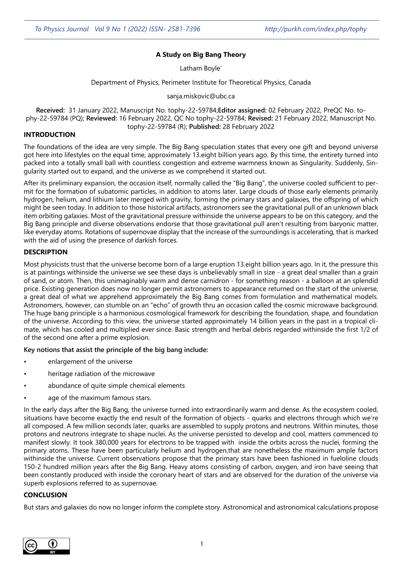# **A Study on Big Bang Theory**

Latham Boyle<sup>\*</sup>

Department of Physics, Perimeter Institute for Theoretical Physics, Canada

sanja.miskovic@ubc.ca

**Received:** 31 January 2022, Manuscript No. tophy-22-59784;**Editor assigned:** 02 February 2022, PreQC No. tophy-22-59784 (PQ); **Reviewed:** 16 February 2022, QC No tophy-22-59784; **Revised:** 21 February 2022, Manuscript No. tophy-22-59784 (R); **Published:** 28 February 2022

## **INTRODUCTION**

The foundations of the idea are very simple. The Big Bang speculation states that every one gift and beyond universe got here into lifestyles on the equal time, approximately 13.eight billion years ago. By this time, the entirety turned into packed into a totally small ball with countless congestion and extreme warmness known as Singularity. Suddenly, Singularity started out to expand, and the universe as we comprehend it started out.

After its preliminary expansion, the occasion itself, normally called the "Big Bang", the universe cooled sufficient to permit for the formation of subatomic particles, in addition to atoms later. Large clouds of those early elements primarily hydrogen, helium, and lithium later merged with gravity, forming the primary stars and galaxies, the offspring of which might be seen today. In addition to those historical artifacts, astronomers see the gravitational pull of an unknown black item orbiting galaxies. Most of the gravitational pressure withinside the universe appears to be on this category, and the Big Bang principle and diverse observations endorse that those gravitational pull aren't resulting from baryonic matter, like everyday atoms. Rotations of supernovae display that the increase of the surroundings is accelerating, that is marked with the aid of using the presence of darkish forces.

## **DESCRIPTION**

Most physicists trust that the universe become born of a large eruption 13.eight billion years ago. In it, the pressure this is at paintings withinside the universe we see these days is unbelievably small in size - a great deal smaller than a grain of sand, or atom. Then, this unimaginably warm and dense carnidron - for something reason - a balloon at an splendid price. Existing generation does now no longer permit astronomers to appearance returned on the start of the universe, a great deal of what we apprehend approximately the Big Bang comes from formulation and mathematical models. Astronomers, however, can stumble on an "echo" of growth thru an occasion called the cosmic microwave background. The huge bang principle is a harmonious cosmological framework for describing the foundation, shape, and foundation of the universe. According to this view, the universe started approximately 14 billion years in the past in a tropical climate, which has cooled and multiplied ever since. Basic strength and herbal debris regarded withinside the first 1/2 of of the second one after a prime explosion.

**Key notions that assist the principle of the big bang include:** 

- enlargement of the universe
- heritage radiation of the microwave
- abundance of quite simple chemical elements
- age of the maximum famous stars.

In the early days after the Big Bang, the universe turned into extraordinarily warm and dense. As the ecosystem cooled, situations have become exactly the end result of the formation of objects - quarks and electrons through which we're all composed. A few million seconds later, quarks are assembled to supply protons and neutrons. Within minutes, those protons and neutrons integrate to shape nuclei. As the universe persisted to develop and cool, matters commenced to manifest slowly. It took 380,000 years for electrons to be trapped with inside the orbits across the nuclei, forming the primary atoms. These have been particularly helium and hydrogen,that are nonetheless the maximum ample factors withinside the universe. Current observations propose that the primary stars have been fashioned in fueloline clouds 150-2 hundred million years after the Big Bang. Heavy atoms consisting of carbon, oxygen, and iron have seeing that been constantly produced with inside the coronary heart of stars and are observed for the duration of the universe via superb explosions referred to as supernovae.

#### **CONCLUSION**

But stars and galaxies do now no longer inform the complete story. Astronomical and astronomical calculations propose